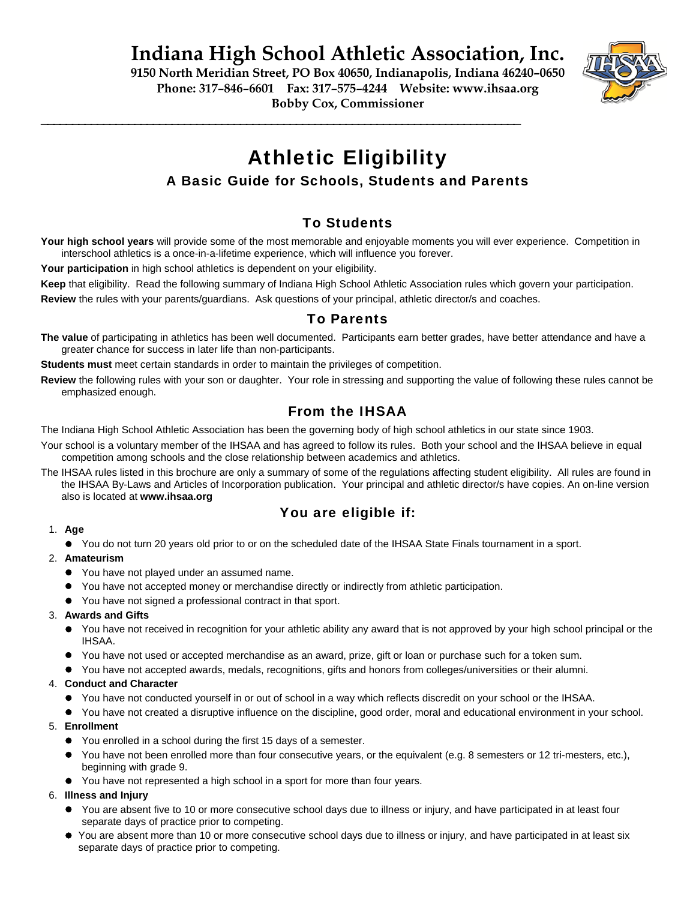**Indiana High School Athletic Association, Inc.** 

**9150 North Meridian Street, PO Box 40650, Indianapolis, Indiana 46240–0650 Phone: 317–846–6601 Fax: 317–575–4244 Website: www.ihsaa.org Bobby Cox, Commissioner**



# Athletic Eligibility

# A Basic Guide for Schools, Students and Parents

# To Students

**Your high school years** will provide some of the most memorable and enjoyable moments you will ever experience. Competition in interschool athletics is a once-in-a-lifetime experience, which will influence you forever.

Your participation in high school athletics is dependent on your eligibility.

**Keep** that eligibility. Read the following summary of Indiana High School Athletic Association rules which govern your participation.

**Review** the rules with your parents/guardians. Ask questions of your principal, athletic director/s and coaches.

**\_\_\_\_\_\_\_\_\_\_\_\_\_\_\_\_\_\_\_\_\_\_\_\_\_\_\_\_\_\_\_\_\_\_\_\_\_\_\_\_\_\_\_\_\_\_\_\_\_\_\_\_\_\_\_\_\_\_\_\_\_\_\_\_\_\_\_\_\_\_\_\_\_\_\_\_\_**

## To Parents

**The value** of participating in athletics has been well documented. Participants earn better grades, have better attendance and have a greater chance for success in later life than non-participants.

**Students must** meet certain standards in order to maintain the privileges of competition.

**Review** the following rules with your son or daughter. Your role in stressing and supporting the value of following these rules cannot be emphasized enough.

# From the IHSAA

The Indiana High School Athletic Association has been the governing body of high school athletics in our state since 1903.

- Your school is a voluntary member of the IHSAA and has agreed to follow its rules. Both your school and the IHSAA believe in equal competition among schools and the close relationship between academics and athletics.
- The IHSAA rules listed in this brochure are only a summary of some of the regulations affecting student eligibility. All rules are found in the IHSAA By-Laws and Articles of Incorporation publication. Your principal and athletic director/s have copies. An on-line version also is located at **www.ihsaa.org**

## You are eligible if:

## 1. **Age**

 You do not turn 20 years old prior to or on the scheduled date of the IHSAA State Finals tournament in a sport.

#### 2. **Amateurism**

- You have not played under an assumed name.
- You have not accepted money or merchandise directly or indirectly from athletic participation.
- You have not signed a professional contract in that sport.

## 3. **Awards and Gifts**

- You have not received in recognition for your athletic ability any award that is not approved by your high school principal or the IHSAA.
- You have not used or accepted merchandise as an award, prize, gift or loan or purchase such for a token sum.
- You have not accepted awards, medals, recognitions, gifts and honors from colleges/universities or their alumni.

## 4. **Conduct and Character**

- You have not conducted yourself in or out of school in a way which reflects discredit on your school or the IHSAA.
- You have not created a disruptive influence on the discipline, good order, moral and educational environment in your school.

## 5. **Enrollment**

- You enrolled in a school during the first 15 days of a semester.
- You have not been enrolled more than four consecutive years, or the equivalent (e.g. 8 semesters or 12 tri-mesters, etc.), beginning with grade 9.
- You have not represented a high school in a sport for more than four years.

## 6. **Illness and Injury**

- You are absent five to 10 or more consecutive school days due to illness or injury, and have participated in at least four separate days of practice prior to competing.
- You are absent more than 10 or more consecutive school days due to illness or injury, and have participated in at least six separate days of practice prior to competing.